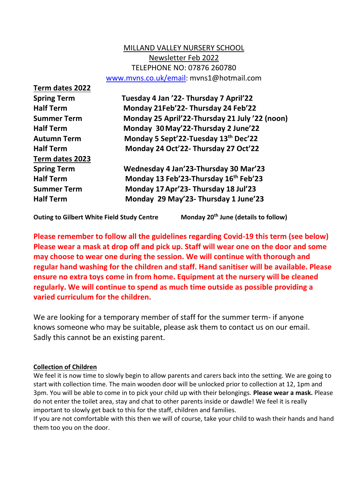# MILLAND VALLEY NURSERY SCHOOL Newsletter Feb 2022 TELEPHONE NO: 07876 260780 [www.mvns.co.uk/email:](http://www.mvns.co.uk/email) mvns1@hotmail.com

**Term dates 2022 Term dates 2023**

**Spring Term Tuesday 4 Jan '22- Thursday 7 April'22 Half Term Monday 21Feb'22- Thursday 24 Feb'22 Summer Term Monday 25 April'22-Thursday 21 July '22 (noon) Half Term Monday 30May'22-Thursday 2 June'22 Autumn Term Monday 5 Sept'22-Tuesday 13th Dec'22 Half Term Monday 24 Oct'22- Thursday 27 Oct'22 Spring Term Wednesday 4 Jan'23-Thursday 30 Mar'23**

**Half Term Monday 13 Feb'23-Thursday 16th Feb'23 Summer Term Monday 17Apr'23- Thursday 18 Jul'23 Half Term Monday 29 May'23- Thursday 1 June'23**

**Outing to Gilbert White Field Study Centre Monday 20th June (details to follow)**

**Please remember to follow all the guidelines regarding Covid-19 this term (see below) Please wear a mask at drop off and pick up. Staff will wear one on the door and some may choose to wear one during the session. We will continue with thorough and regular hand washing for the children and staff. Hand sanitiser will be available. Please ensure no extra toys come in from home. Equipment at the nursery will be cleaned regularly. We will continue to spend as much time outside as possible providing a varied curriculum for the children.**

We are looking for a temporary member of staff for the summer term- if anyone knows someone who may be suitable, please ask them to contact us on our email. Sadly this cannot be an existing parent.

# **Collection of Children**

We feel it is now time to slowly begin to allow parents and carers back into the setting. We are going to start with collection time. The main wooden door will be unlocked prior to collection at 12, 1pm and 3pm. You will be able to come in to pick your child up with their belongings. **Please wear a mask.** Please do not enter the toilet area, stay and chat to other parents inside or dawdle! We feel it is really important to slowly get back to this for the staff, children and families.

If you are not comfortable with this then we will of course, take your child to wash their hands and hand them too you on the door.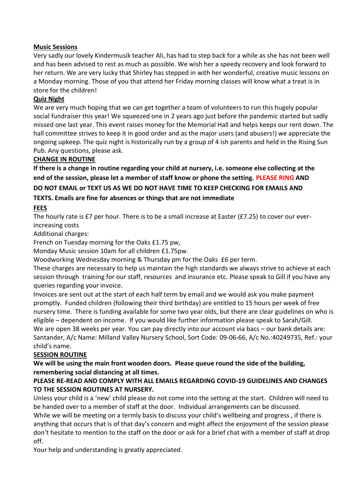### **Music Sessions**

Very sadly our lovely Kindermusik teacher Ali, has had to step back for a while as she has not been well and has been advised to rest as much as possible. We wish her a speedy recovery and look forward to her return. We are very lucky that Shirley has stepped in with her wonderful, creative music lessons on a Monday morning. Those of you that attend her Friday morning classes will know what a treat is in store for the children!

### **Quiz Night**

We are very much hoping that we can get together a team of volunteers to run this hugely popular social fundraiser this year! We squeezed one in 2 years ago just before the pandemic started but sadly missed one last year. This event raises money for the Memorial Hall and helps keeps our rent down. The hall committee strives to keep it in good order and as the major users (and abusers!) we appreciate the ongoing upkeep. The quiz night is historically run by a group of 4 ish parents and held in the Rising Sun Pub. Any questions, please ask.

### **CHANGE IN ROUTINE**

**If there is a change in routine regarding your child at nursery, i.e. someone else collecting at the end of the session, please let a member of staff know or phone the setting. PLEASE RING AND DO NOT EMAIL or TEXT US AS WE DO NOT HAVE TIME TO KEEP CHECKING FOR EMAILS AND TEXTS. Emails are fine for absences or things that are not immediate**

# **FEES**

The hourly rate is £7 per hour. There is to be a small increase at Easter (£7.25) to cover our everincreasing costs

Additional charges:

French on Tuesday morning for the Oaks £1.75 pw,

Monday Music session 10am for all children £1.75pw.

Woodworking Wednesday morning & Thursday pm for the Oaks £6 per term.

These charges are necessary to help us maintain the high standards we always strive to achieve at each session through training for our staff, resources and insurance etc. Please speak to Gill if you have any queries regarding your invoice.

Invoices are sent out at the start of each half term by email and we would ask you make payment promptly. Funded children (following their third birthday) are entitled to 15 hours per week of free nursery time. There is funding available for some two year olds, but there are clear guidelines on who is eligible – dependent on income. If you would like further information please speak to Sarah/Gill. We are open 38 weeks per year. You can pay directly into our account via bacs – our bank details are: Santander, A/c Name: Milland Valley Nursery School, Sort Code: 09-06-66, A/c No.:40249735, Ref.: your child's name.

### **SESSION ROUTINE**

**We will be using the main front wooden doors. Please queue round the side of the building, remembering social distancing at all times.** 

# **PLEASE RE-READ AND COMPLY WITH ALL EMAILS REGARDING COVID-19 GUIDELINES AND CHANGES TO THE SESSION ROUTINES AT NURSERY.**

Unless your child is a 'new' child please do not come into the setting at the start. Children will need to be handed over to a member of staff at the door. Individual arrangements can be discussed.

While we will be meeting on a termly basis to discuss your child's wellbeing and progress , if there is anything that occurs that is of that day's concern and might affect the enjoyment of the session please don't hesitate to mention to the staff on the door or ask for a brief chat with a member of staff at drop off.

Your help and understanding is greatly appreciated.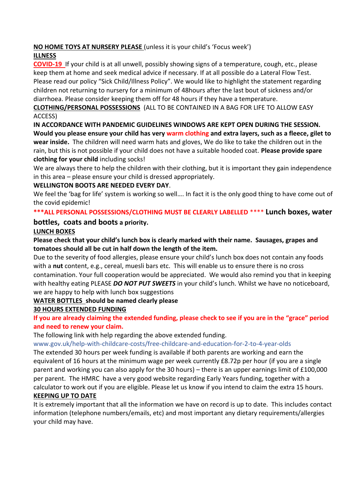# **NO HOME TOYS AT NURSERY PLEASE** (unless it is your child's 'Focus week')

# **ILLNESS**

**COVID-19** If your child is at all unwell, possibly showing signs of a temperature, cough, etc., please keep them at home and seek medical advice if necessary. If at all possible do a Lateral Flow Test. Please read our policy "Sick Child/Illness Policy". We would like to highlight the statement regarding children not returning to nursery for a minimum of 48hours after the last bout of sickness and/or diarrhoea. Please consider keeping them off for 48 hours if they have a temperature.

# **CLOTHING/PERSONAL POSSESSIONS** (ALL TO BE CONTAINED IN A BAG FOR LIFE TO ALLOW EASY ACCESS)

**IN ACCORDANCE WITH PANDEMIC GUIDELINES WINDOWS ARE KEPT OPEN DURING THE SESSION. Would you please ensure your child has very warm clothing and extra layers, such as a fleece, gilet to wear inside.** The children will need warm hats and gloves, We do like to take the children out in the rain, but this is not possible if your child does not have a suitable hooded coat. **Please provide spare clothing for your child** including socks!

We are always there to help the children with their clothing, but it is important they gain independence in this area – please ensure your child is dressed appropriately.

# **WELLINGTON BOOTS ARE NEEDED EVERY DAY**.

We feel the 'bag for life' system is working so well.... In fact it is the only good thing to have come out of the covid epidemic!

# **\*\*\*ALL PERSONAL POSSESSIONS/CLOTHING MUST BE CLEARLY LABELLED** \*\*\*\* **Lunch boxes, water**

# **bottles, coats and boots a priority.**

# **LUNCH BOXES**

# **Please check that your child's lunch box is clearly marked with their name. Sausages, grapes and tomatoes should all be cut in half down the length of the item.**

Due to the severity of food allergies, please ensure your child's lunch box does not contain any foods with a **nut** content, e.g., cereal, muesli bars etc. This will enable us to ensure there is no cross contamination. Your full cooperation would be appreciated. We would also remind you that in keeping with healthy eating PLEASE *DO NOT PUT SWEETS* in your child's lunch. Whilst we have no noticeboard, we are happy to help with lunch box suggestions

# **WATER BOTTLES should be named clearly please**

# **30 HOURS EXTENDED FUNDING**

**If you are already claiming the extended funding, please check to see if you are in the "grace" period and need to renew your claim.**

The following link with help regarding the above extended funding.

www.gov.uk/help-with-childcare-costs/free-childcare-and-education-for-2-to-4-year-olds

The extended 30 hours per week funding is available if both parents are working and earn the equivalent of 16 hours at the minimum wage per week currently £8.72p per hour (if you are a single parent and working you can also apply for the 30 hours) – there is an upper earnings limit of £100,000 per parent. The HMRC have a very good website regarding Early Years funding, together with a calculator to work out if you are eligible. Please let us know if you intend to claim the extra 15 hours. **KEEPING UP TO DATE**

# It is extremely important that all the information we have on record is up to date. This includes contact information (telephone numbers/emails, etc) and most important any dietary requirements/allergies your child may have.